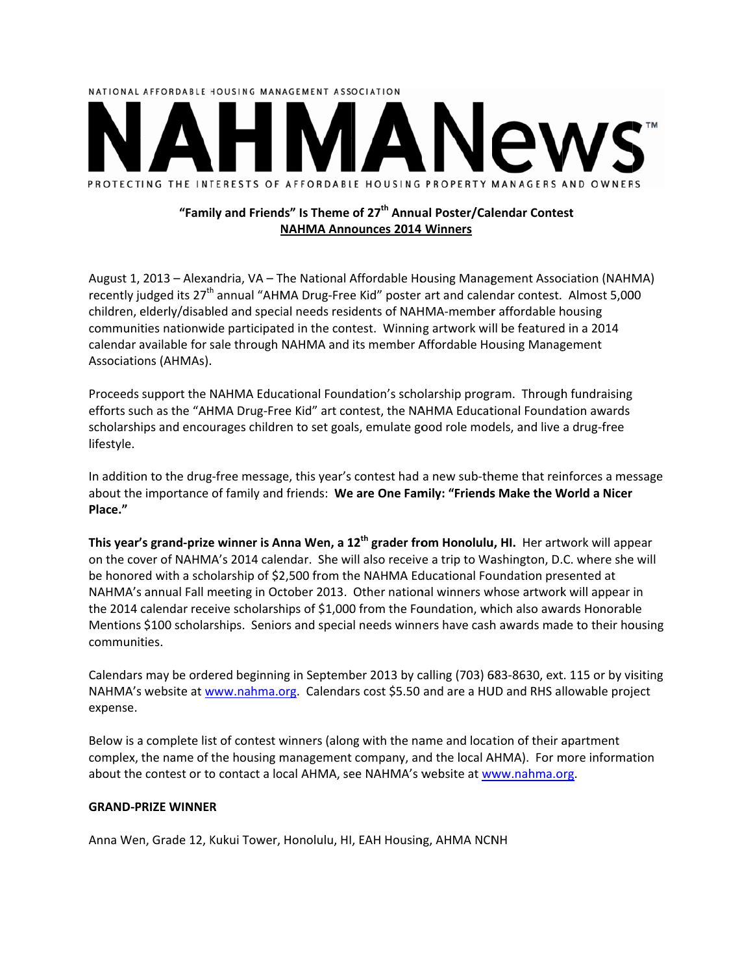

# "Family and Friends" Is Theme of 27<sup>th</sup> Annual Poster/Calendar Contest **NAHMA Announces 2014 Winners**

August 1, 2013 – Alexandria, VA – The National Affordable Housing Management Association (NAHMA) recently judged its 27<sup>th</sup> annual "AHMA Drug-Free Kid" poster art and calendar contest. Almost 5,000 children, elderly/disabled and special needs residents of NAHMA-member affordable housing communities nationwide participated in the contest. Winning artwork will be featured in a 2014 calendar available for sale through NAHMA and its member Affordable Housing Management Associations (AHMAs).

Proceeds support the NAHMA Educational Foundation's scholarship program. Through fundraising efforts such as the "AHMA Drug-Free Kid" art contest, the NAHMA Educational Foundation awards scholarships and encourages children to set goals, emulate good role models, and live a drug-free lifestyle.

In addition to the drug-free message, this year's contest had a new sub-theme that reinforces a message about the importance of family and friends: We are One Family: "Friends Make the World a Nicer Place."

This year's grand-prize winner is Anna Wen, a 12<sup>th</sup> grader from Honolulu, HI. Her artwork will appear on the cover of NAHMA's 2014 calendar. She will also receive a trip to Washington, D.C. where she will be honored with a scholarship of \$2,500 from the NAHMA Educational Foundation presented at NAHMA's annual Fall meeting in October 2013. Other national winners whose artwork will appear in the 2014 calendar receive scholarships of \$1,000 from the Foundation, which also awards Honorable Mentions \$100 scholarships. Seniors and special needs winners have cash awards made to their housing communities.

Calendars may be ordered beginning in September 2013 by calling (703) 683-8630, ext. 115 or by visiting NAHMA's website at www.nahma.org. Calendars cost \$5.50 and are a HUD and RHS allowable project expense.

Below is a complete list of contest winners (along with the name and location of their apartment complex, the name of the housing management company, and the local AHMA). For more information about the contest or to contact a local AHMA, see NAHMA's website at www.nahma.org.

### **GRAND-PRIZE WINNER**

Anna Wen, Grade 12, Kukui Tower, Honolulu, HI, EAH Housing, AHMA NCNH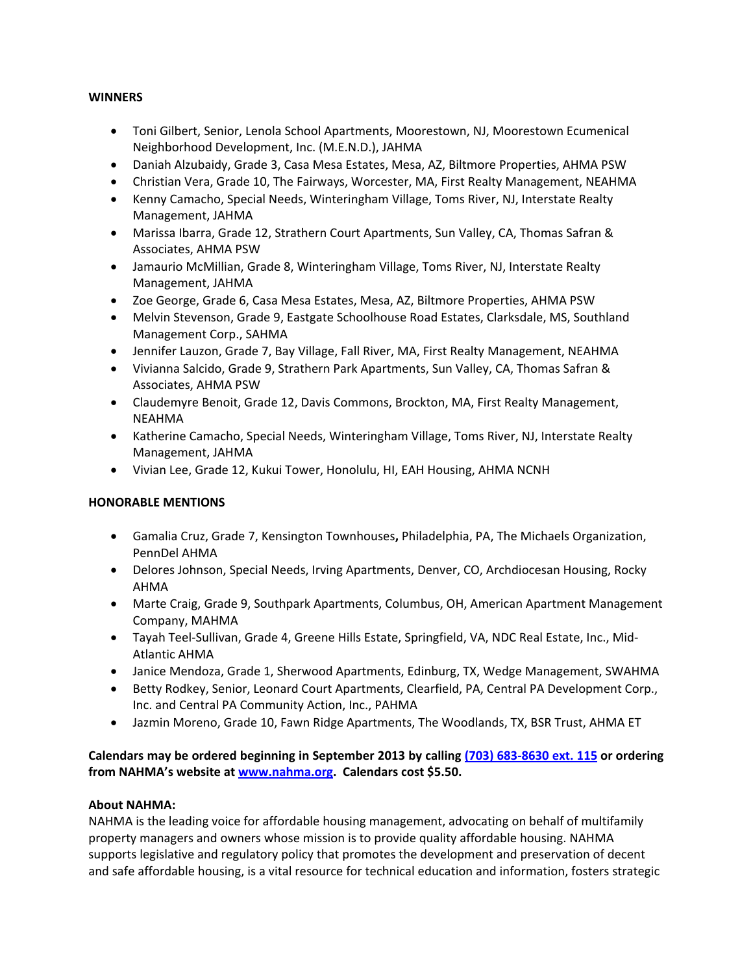### **WINNERS**

- Toni Gilbert, Senior, Lenola School Apartments, Moorestown, NJ, Moorestown Ecumenical Neighborhood Development, Inc. (M.E.N.D.), JAHMA
- Daniah Alzubaidy, Grade 3, Casa Mesa Estates, Mesa, AZ, Biltmore Properties, AHMA PSW
- Christian Vera, Grade 10, The Fairways, Worcester, MA, First Realty Management, NEAHMA
- Kenny Camacho, Special Needs, Winteringham Village, Toms River, NJ, Interstate Realty Management, JAHMA
- Marissa Ibarra, Grade 12, Strathern Court Apartments, Sun Valley, CA, Thomas Safran & Associates, AHMA PSW
- Jamaurio McMillian, Grade 8, Winteringham Village, Toms River, NJ, Interstate Realty Management, JAHMA
- Zoe George, Grade 6, Casa Mesa Estates, Mesa, AZ, Biltmore Properties, AHMA PSW
- Melvin Stevenson, Grade 9, Eastgate Schoolhouse Road Estates, Clarksdale, MS, Southland Management Corp., SAHMA
- Jennifer Lauzon, Grade 7, Bay Village, Fall River, MA, First Realty Management, NEAHMA
- Vivianna Salcido, Grade 9, Strathern Park Apartments, Sun Valley, CA, Thomas Safran & Associates, AHMA PSW
- Claudemyre Benoit, Grade 12, Davis Commons, Brockton, MA, First Realty Management, NEAHMA
- Katherine Camacho, Special Needs, Winteringham Village, Toms River, NJ, Interstate Realty Management, JAHMA
- Vivian Lee, Grade 12, Kukui Tower, Honolulu, HI, EAH Housing, AHMA NCNH

### **HONORABLE MENTIONS**

- Gamalia Cruz, Grade 7, Kensington Townhouses**,** Philadelphia, PA, The Michaels Organization, PennDel AHMA
- Delores Johnson, Special Needs, Irving Apartments, Denver, CO, Archdiocesan Housing, Rocky AHMA
- Marte Craig, Grade 9, Southpark Apartments, Columbus, OH, American Apartment Management Company, MAHMA
- Tayah Teel‐Sullivan, Grade 4, Greene Hills Estate, Springfield, VA, NDC Real Estate, Inc., Mid‐ Atlantic AHMA
- Janice Mendoza, Grade 1, Sherwood Apartments, Edinburg, TX, Wedge Management, SWAHMA
- Betty Rodkey, Senior, Leonard Court Apartments, Clearfield, PA, Central PA Development Corp., Inc. and Central PA Community Action, Inc., PAHMA
- Jazmin Moreno, Grade 10, Fawn Ridge Apartments, The Woodlands, TX, BSR Trust, AHMA ET

Calendars may be ordered beginning in September 2013 by calling (703) 683-8630 ext. 115 or ordering **from NAHMA's website at www.nahma.org. Calendars cost \$5.50.**

### **About NAHMA:**

NAHMA is the leading voice for affordable housing management, advocating on behalf of multifamily property managers and owners whose mission is to provide quality affordable housing. NAHMA supports legislative and regulatory policy that promotes the development and preservation of decent and safe affordable housing, is a vital resource for technical education and information, fosters strategic